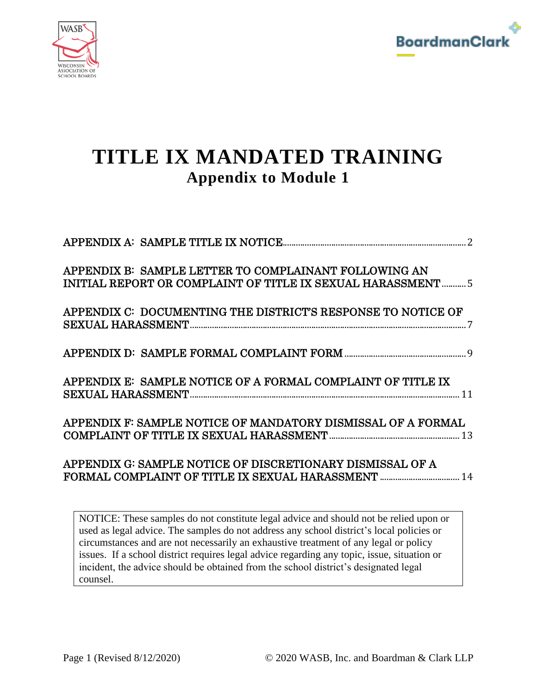



| APPENDIX B: SAMPLE LETTER TO COMPLAINANT FOLLOWING AN<br>INITIAL REPORT OR COMPLAINT OF TITLE IX SEXUAL HARASSMENT  5 |
|-----------------------------------------------------------------------------------------------------------------------|
| APPENDIX C: DOCUMENTING THE DISTRICT'S RESPONSE TO NOTICE OF                                                          |
|                                                                                                                       |
| APPENDIX E: SAMPLE NOTICE OF A FORMAL COMPLAINT OF TITLE IX                                                           |
| APPENDIX F: SAMPLE NOTICE OF MANDATORY DISMISSAL OF A FORMAL                                                          |
| APPENDIX G: SAMPLE NOTICE OF DISCRETIONARY DISMISSAL OF A                                                             |
|                                                                                                                       |

NOTICE: These samples do not constitute legal advice and should not be relied upon or used as legal advice. The samples do not address any school district's local policies or circumstances and are not necessarily an exhaustive treatment of any legal or policy issues. If a school district requires legal advice regarding any topic, issue, situation or incident, the advice should be obtained from the school district's designated legal counsel.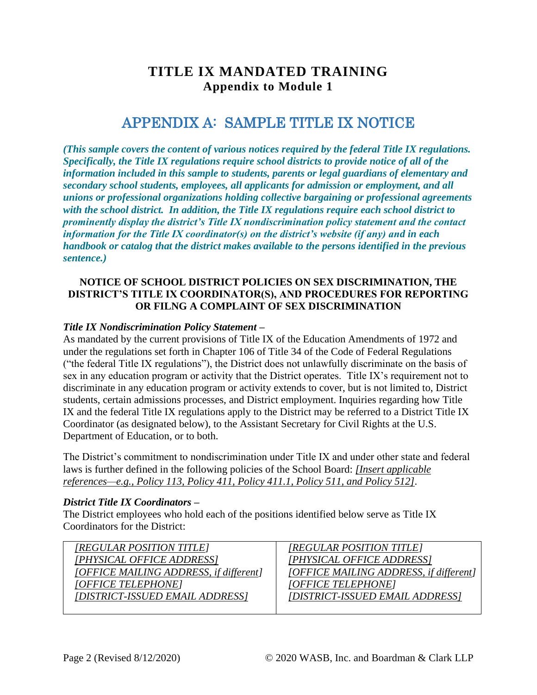## APPENDIX A: SAMPLE TITLE IX NOTICE

<span id="page-1-0"></span>*(This sample covers the content of various notices required by the federal Title IX regulations. Specifically, the Title IX regulations require school districts to provide notice of all of the information included in this sample to students, parents or legal guardians of elementary and secondary school students, employees, all applicants for admission or employment, and all unions or professional organizations holding collective bargaining or professional agreements with the school district. In addition, the Title IX regulations require each school district to prominently display the district's Title IX nondiscrimination policy statement and the contact information for the Title IX coordinator(s) on the district's website (if any) and in each handbook or catalog that the district makes available to the persons identified in the previous sentence.)* 

### **NOTICE OF SCHOOL DISTRICT POLICIES ON SEX DISCRIMINATION, THE DISTRICT'S TITLE IX COORDINATOR(S), AND PROCEDURES FOR REPORTING OR FILNG A COMPLAINT OF SEX DISCRIMINATION**

### *Title IX Nondiscrimination Policy Statement –*

As mandated by the current provisions of Title IX of the Education Amendments of 1972 and under the regulations set forth in Chapter 106 of Title 34 of the Code of Federal Regulations ("the federal Title IX regulations"), the District does not unlawfully discriminate on the basis of sex in any education program or activity that the District operates. Title IX's requirement not to discriminate in any education program or activity extends to cover, but is not limited to, District students, certain admissions processes, and District employment. Inquiries regarding how Title IX and the federal Title IX regulations apply to the District may be referred to a District Title IX Coordinator (as designated below), to the Assistant Secretary for Civil Rights at the U.S. Department of Education, or to both.

The District's commitment to nondiscrimination under Title IX and under other state and federal laws is further defined in the following policies of the School Board: *[Insert applicable references—e.g., Policy 113, Policy 411, Policy 411.1, Policy 511, and Policy 512]*.

#### *District Title IX Coordinators –*

The District employees who hold each of the positions identified below serve as Title IX Coordinators for the District:

| [REGULAR POSITION TITLE]               |
|----------------------------------------|
| [PHYSICAL OFFICE ADDRESS]              |
| [OFFICE MAILING ADDRESS, if different] |
| [OFFICE TELEPHONE]                     |
| [DISTRICT-ISSUED EMAIL ADDRESS]        |
|                                        |

*[REGULAR POSITION TITLE] [PHYSICAL OFFICE ADDRESS] [OFFICE MAILING ADDRESS, if different] [OFFICE TELEPHONE] [DISTRICT-ISSUED EMAIL ADDRESS]*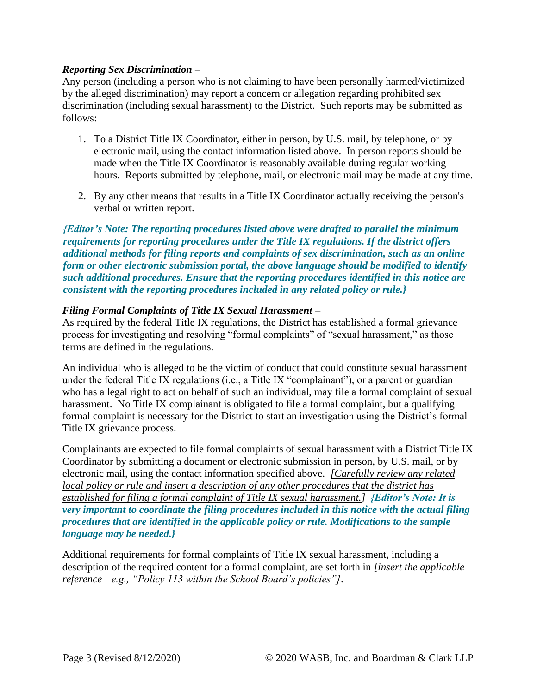### *Reporting Sex Discrimination –*

Any person (including a person who is not claiming to have been personally harmed/victimized by the alleged discrimination) may report a concern or allegation regarding prohibited sex discrimination (including sexual harassment) to the District. Such reports may be submitted as follows:

- 1. To a District Title IX Coordinator, either in person, by U.S. mail, by telephone, or by electronic mail, using the contact information listed above. In person reports should be made when the Title IX Coordinator is reasonably available during regular working hours. Reports submitted by telephone, mail, or electronic mail may be made at any time.
- 2. By any other means that results in a Title IX Coordinator actually receiving the person's verbal or written report.

*{Editor's Note: The reporting procedures listed above were drafted to parallel the minimum requirements for reporting procedures under the Title IX regulations. If the district offers additional methods for filing reports and complaints of sex discrimination, such as an online form or other electronic submission portal, the above language should be modified to identify such additional procedures. Ensure that the reporting procedures identified in this notice are consistent with the reporting procedures included in any related policy or rule.}*

### *Filing Formal Complaints of Title IX Sexual Harassment –*

As required by the federal Title IX regulations, the District has established a formal grievance process for investigating and resolving "formal complaints" of "sexual harassment," as those terms are defined in the regulations.

An individual who is alleged to be the victim of conduct that could constitute sexual harassment under the federal Title IX regulations (i.e., a Title IX "complainant"), or a parent or guardian who has a legal right to act on behalf of such an individual, may file a formal complaint of sexual harassment. No Title IX complainant is obligated to file a formal complaint, but a qualifying formal complaint is necessary for the District to start an investigation using the District's formal Title IX grievance process.

Complainants are expected to file formal complaints of sexual harassment with a District Title IX Coordinator by submitting a document or electronic submission in person, by U.S. mail, or by electronic mail, using the contact information specified above. *[Carefully review any related local policy or rule and insert a description of any other procedures that the district has established for filing a formal complaint of Title IX sexual harassment.] {Editor's Note: It is very important to coordinate the filing procedures included in this notice with the actual filing procedures that are identified in the applicable policy or rule. Modifications to the sample language may be needed.}* 

Additional requirements for formal complaints of Title IX sexual harassment, including a description of the required content for a formal complaint, are set forth in *[insert the applicable reference—e.g., "Policy 113 within the School Board's policies"]*.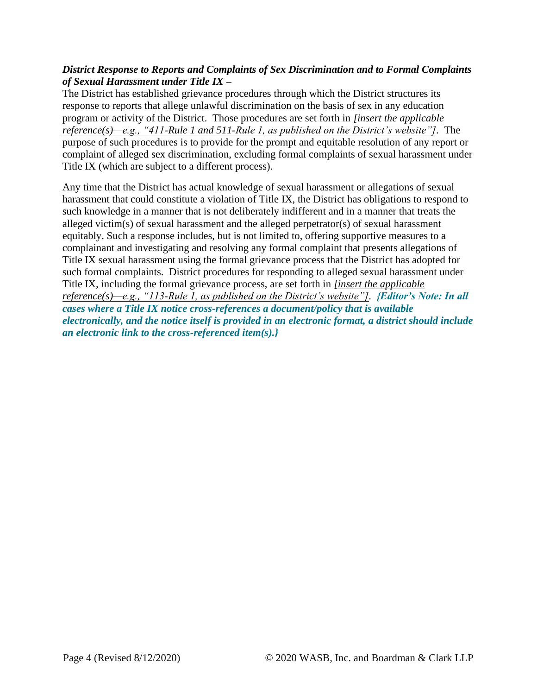### *District Response to Reports and Complaints of Sex Discrimination and to Formal Complaints of Sexual Harassment under Title IX –*

The District has established grievance procedures through which the District structures its response to reports that allege unlawful discrimination on the basis of sex in any education program or activity of the District. Those procedures are set forth in *[insert the applicable reference(s)—e.g., "411-Rule 1 and 511-Rule 1, as published on the District's website"]*. The purpose of such procedures is to provide for the prompt and equitable resolution of any report or complaint of alleged sex discrimination, excluding formal complaints of sexual harassment under Title IX (which are subject to a different process).

Any time that the District has actual knowledge of sexual harassment or allegations of sexual harassment that could constitute a violation of Title IX, the District has obligations to respond to such knowledge in a manner that is not deliberately indifferent and in a manner that treats the alleged victim(s) of sexual harassment and the alleged perpetrator(s) of sexual harassment equitably. Such a response includes, but is not limited to, offering supportive measures to a complainant and investigating and resolving any formal complaint that presents allegations of Title IX sexual harassment using the formal grievance process that the District has adopted for such formal complaints. District procedures for responding to alleged sexual harassment under Title IX, including the formal grievance process, are set forth in *[insert the applicable reference(s)—e.g., "113-Rule 1, as published on the District's website"]*. *{Editor's Note: In all cases where a Title IX notice cross-references a document/policy that is available electronically, and the notice itself is provided in an electronic format, a district should include an electronic link to the cross-referenced item(s).}*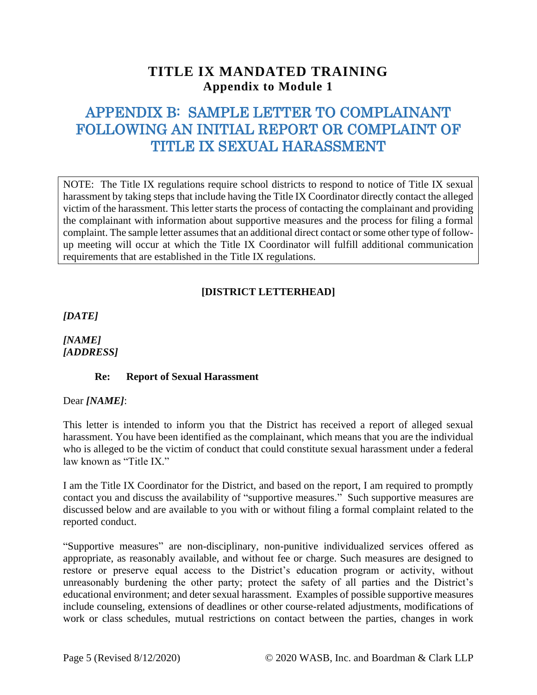# <span id="page-4-0"></span>APPENDIX B: SAMPLE LETTER TO COMPLAINANT FOLLOWING AN INITIAL REPORT OR COMPLAINT OF TITLE IX SEXUAL HARASSMENT

NOTE: The Title IX regulations require school districts to respond to notice of Title IX sexual harassment by taking steps that include having the Title IX Coordinator directly contact the alleged victim of the harassment. This letter starts the process of contacting the complainant and providing the complainant with information about supportive measures and the process for filing a formal complaint. The sample letter assumes that an additional direct contact or some other type of followup meeting will occur at which the Title IX Coordinator will fulfill additional communication requirements that are established in the Title IX regulations.

### **[DISTRICT LETTERHEAD]**

*[DATE]*

*[NAME] [ADDRESS]*

### **Re: Report of Sexual Harassment**

Dear *[NAME]*:

This letter is intended to inform you that the District has received a report of alleged sexual harassment. You have been identified as the complainant, which means that you are the individual who is alleged to be the victim of conduct that could constitute sexual harassment under a federal law known as "Title IX."

I am the Title IX Coordinator for the District, and based on the report, I am required to promptly contact you and discuss the availability of "supportive measures." Such supportive measures are discussed below and are available to you with or without filing a formal complaint related to the reported conduct.

"Supportive measures" are non-disciplinary, non-punitive individualized services offered as appropriate, as reasonably available, and without fee or charge. Such measures are designed to restore or preserve equal access to the District's education program or activity, without unreasonably burdening the other party; protect the safety of all parties and the District's educational environment; and deter sexual harassment. Examples of possible supportive measures include counseling, extensions of deadlines or other course-related adjustments, modifications of work or class schedules, mutual restrictions on contact between the parties, changes in work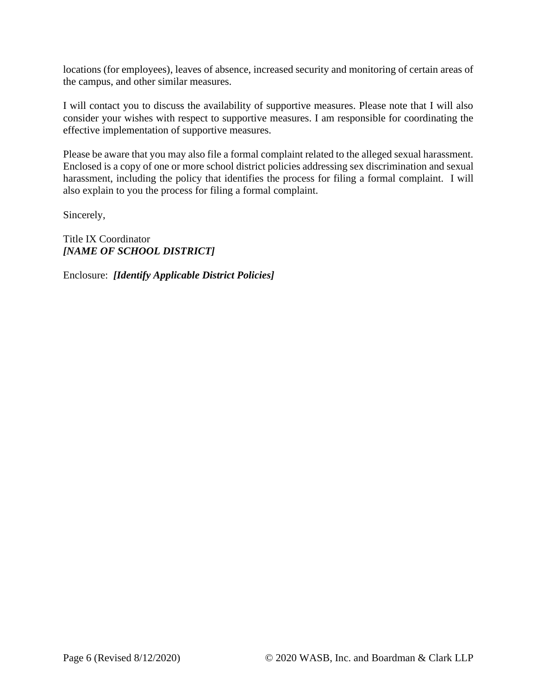locations (for employees), leaves of absence, increased security and monitoring of certain areas of the campus, and other similar measures.

I will contact you to discuss the availability of supportive measures. Please note that I will also consider your wishes with respect to supportive measures. I am responsible for coordinating the effective implementation of supportive measures.

Please be aware that you may also file a formal complaint related to the alleged sexual harassment. Enclosed is a copy of one or more school district policies addressing sex discrimination and sexual harassment, including the policy that identifies the process for filing a formal complaint. I will also explain to you the process for filing a formal complaint.

Sincerely,

Title IX Coordinator *[NAME OF SCHOOL DISTRICT]*

Enclosure: *[Identify Applicable District Policies]*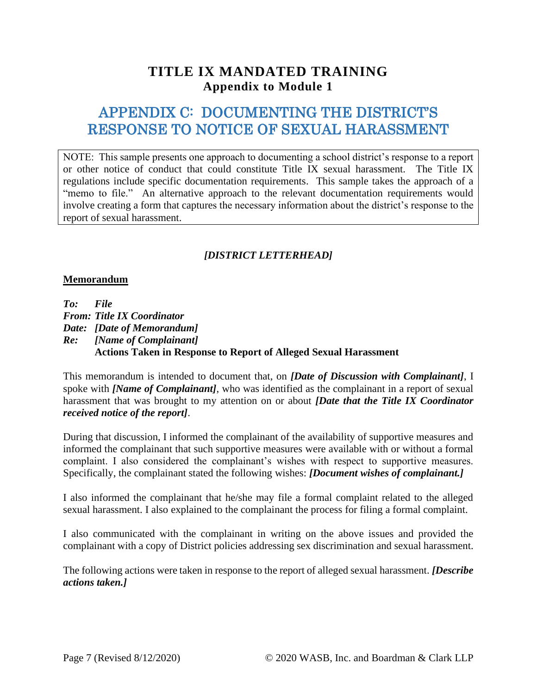# <span id="page-6-0"></span>APPENDIX C: DOCUMENTING THE DISTRICT'S RESPONSE TO NOTICE OF SEXUAL HARASSMENT

NOTE: This sample presents one approach to documenting a school district's response to a report or other notice of conduct that could constitute Title IX sexual harassment. The Title IX regulations include specific documentation requirements. This sample takes the approach of a "memo to file." An alternative approach to the relevant documentation requirements would involve creating a form that captures the necessary information about the district's response to the report of sexual harassment.

### *[DISTRICT LETTERHEAD]*

### **Memorandum**

*To: File From: Title IX Coordinator Date: [Date of Memorandum] Re: [Name of Complainant]*  **Actions Taken in Response to Report of Alleged Sexual Harassment** 

This memorandum is intended to document that, on *[Date of Discussion with Complainant]*, I spoke with *[Name of Complainant]*, who was identified as the complainant in a report of sexual harassment that was brought to my attention on or about *[Date that the Title IX Coordinator received notice of the report]*.

During that discussion, I informed the complainant of the availability of supportive measures and informed the complainant that such supportive measures were available with or without a formal complaint. I also considered the complainant's wishes with respect to supportive measures. Specifically, the complainant stated the following wishes: *[Document wishes of complainant.]*

I also informed the complainant that he/she may file a formal complaint related to the alleged sexual harassment. I also explained to the complainant the process for filing a formal complaint.

I also communicated with the complainant in writing on the above issues and provided the complainant with a copy of District policies addressing sex discrimination and sexual harassment.

The following actions were taken in response to the report of alleged sexual harassment. *[Describe actions taken.]*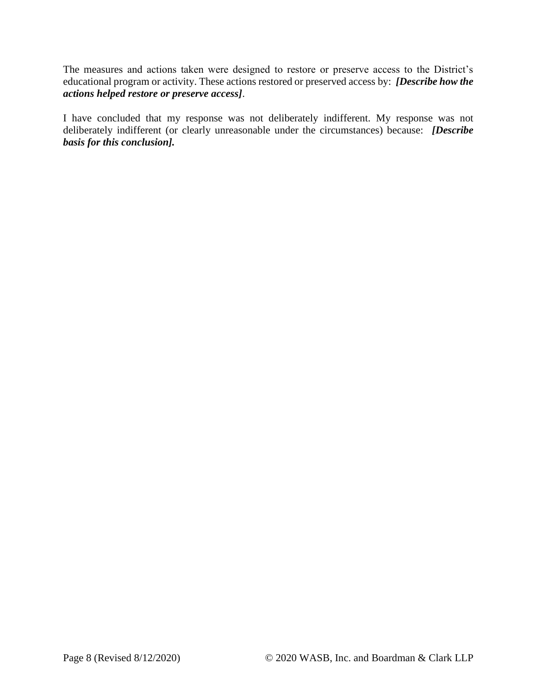The measures and actions taken were designed to restore or preserve access to the District's educational program or activity. These actions restored or preserved access by: *[Describe how the actions helped restore or preserve access]*.

I have concluded that my response was not deliberately indifferent. My response was not deliberately indifferent (or clearly unreasonable under the circumstances) because: *[Describe basis for this conclusion].*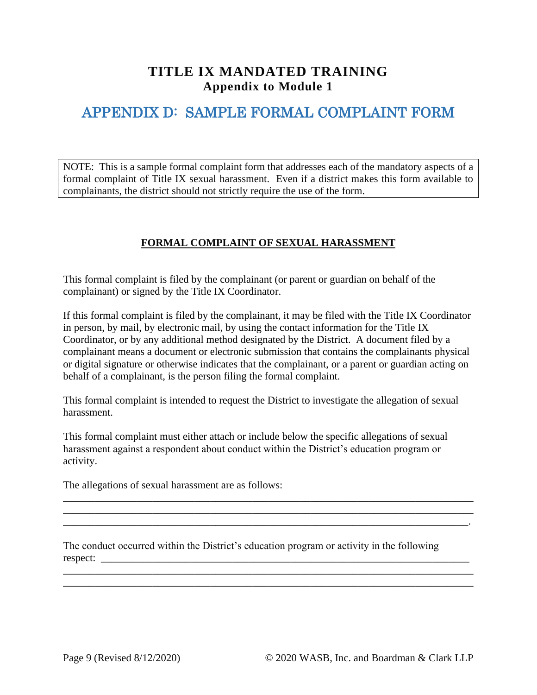# <span id="page-8-0"></span>APPENDIX D: SAMPLE FORMAL COMPLAINT FORM

NOTE: This is a sample formal complaint form that addresses each of the mandatory aspects of a formal complaint of Title IX sexual harassment. Even if a district makes this form available to complainants, the district should not strictly require the use of the form.

### **FORMAL COMPLAINT OF SEXUAL HARASSMENT**

This formal complaint is filed by the complainant (or parent or guardian on behalf of the complainant) or signed by the Title IX Coordinator.

If this formal complaint is filed by the complainant, it may be filed with the Title IX Coordinator in person, by mail, by electronic mail, by using the contact information for the Title IX Coordinator, or by any additional method designated by the District. A document filed by a complainant means a document or electronic submission that contains the complainants physical or digital signature or otherwise indicates that the complainant, or a parent or guardian acting on behalf of a complainant, is the person filing the formal complaint.

This formal complaint is intended to request the District to investigate the allegation of sexual harassment.

This formal complaint must either attach or include below the specific allegations of sexual harassment against a respondent about conduct within the District's education program or activity.

\_\_\_\_\_\_\_\_\_\_\_\_\_\_\_\_\_\_\_\_\_\_\_\_\_\_\_\_\_\_\_\_\_\_\_\_\_\_\_\_\_\_\_\_\_\_\_\_\_\_\_\_\_\_\_\_\_\_\_\_\_\_\_\_\_\_\_\_\_\_\_\_\_\_\_\_\_\_

\_\_\_\_\_\_\_\_\_\_\_\_\_\_\_\_\_\_\_\_\_\_\_\_\_\_\_\_\_\_\_\_\_\_\_\_\_\_\_\_\_\_\_\_\_\_\_\_\_\_\_\_\_\_\_\_\_\_\_\_\_\_\_\_\_\_\_\_\_\_\_\_\_\_\_\_\_.

\_\_\_\_\_\_\_\_\_\_\_\_\_\_\_\_\_\_\_\_\_\_\_\_\_\_\_\_\_\_\_\_\_\_\_\_\_\_\_\_\_\_\_\_\_\_\_\_\_\_\_\_\_\_\_\_\_\_\_\_\_\_\_\_\_\_\_\_\_\_\_\_\_\_\_\_\_\_ \_\_\_\_\_\_\_\_\_\_\_\_\_\_\_\_\_\_\_\_\_\_\_\_\_\_\_\_\_\_\_\_\_\_\_\_\_\_\_\_\_\_\_\_\_\_\_\_\_\_\_\_\_\_\_\_\_\_\_\_\_\_\_\_\_\_\_\_\_\_\_\_\_\_\_\_\_\_

 $\mathcal{L}_\text{max} = \mathcal{L}_\text{max} = \mathcal{L}_\text{max} = \mathcal{L}_\text{max} = \mathcal{L}_\text{max} = \mathcal{L}_\text{max} = \mathcal{L}_\text{max} = \mathcal{L}_\text{max} = \mathcal{L}_\text{max} = \mathcal{L}_\text{max} = \mathcal{L}_\text{max} = \mathcal{L}_\text{max} = \mathcal{L}_\text{max} = \mathcal{L}_\text{max} = \mathcal{L}_\text{max} = \mathcal{L}_\text{max} = \mathcal{L}_\text{max} = \mathcal{L}_\text{max} = \mathcal{$ 

The allegations of sexual harassment are as follows:

The conduct occurred within the District's education program or activity in the following respect: \_\_\_\_\_\_\_\_\_\_\_\_\_\_\_\_\_\_\_\_\_\_\_\_\_\_\_\_\_\_\_\_\_\_\_\_\_\_\_\_\_\_\_\_\_\_\_\_\_\_\_\_\_\_\_\_\_\_\_\_\_\_\_\_\_\_\_\_\_\_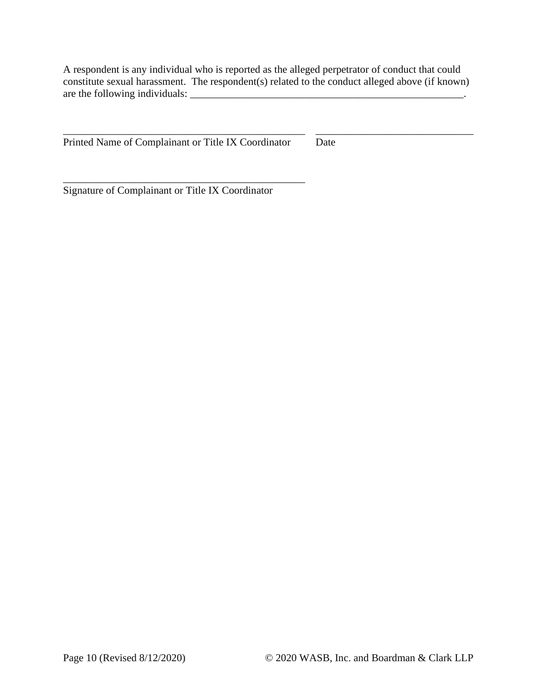A respondent is any individual who is reported as the alleged perpetrator of conduct that could constitute sexual harassment. The respondent(s) related to the conduct alleged above (if known) are the following individuals:

\_\_\_\_\_\_\_\_\_\_\_\_\_\_\_\_\_\_\_\_\_\_\_\_\_\_\_\_\_\_\_\_\_\_\_\_\_\_\_\_\_\_\_\_\_\_ \_\_\_\_\_\_\_\_\_\_\_\_\_\_\_\_\_\_\_\_\_\_\_\_\_\_\_\_\_\_

Printed Name of Complainant or Title IX Coordinator Date

\_\_\_\_\_\_\_\_\_\_\_\_\_\_\_\_\_\_\_\_\_\_\_\_\_\_\_\_\_\_\_\_\_\_\_\_\_\_\_\_\_\_\_\_\_\_

Signature of Complainant or Title IX Coordinator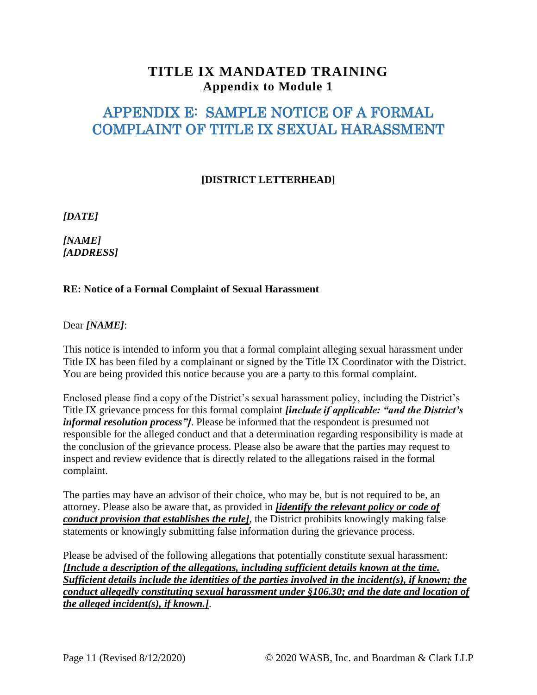# <span id="page-10-0"></span>APPENDIX E: SAMPLE NOTICE OF A FORMAL COMPLAINT OF TITLE IX SEXUAL HARASSMENT

### **[DISTRICT LETTERHEAD]**

*[DATE]* 

*[NAME] [ADDRESS]* 

### **RE: Notice of a Formal Complaint of Sexual Harassment**

Dear *[NAME]*:

This notice is intended to inform you that a formal complaint alleging sexual harassment under Title IX has been filed by a complainant or signed by the Title IX Coordinator with the District. You are being provided this notice because you are a party to this formal complaint.

Enclosed please find a copy of the District's sexual harassment policy, including the District's Title IX grievance process for this formal complaint *[include if applicable: "and the District's informal resolution process"]*. Please be informed that the respondent is presumed not responsible for the alleged conduct and that a determination regarding responsibility is made at the conclusion of the grievance process. Please also be aware that the parties may request to inspect and review evidence that is directly related to the allegations raised in the formal complaint.

The parties may have an advisor of their choice, who may be, but is not required to be, an attorney. Please also be aware that, as provided in *[identify the relevant policy or code of conduct provision that establishes the rule]*, the District prohibits knowingly making false statements or knowingly submitting false information during the grievance process.

Please be advised of the following allegations that potentially constitute sexual harassment: *[Include a description of the allegations, including sufficient details known at the time. Sufficient details include the identities of the parties involved in the incident(s), if known; the conduct allegedly constituting sexual harassment under §106.30; and the date and location of the alleged incident(s), if known.]*.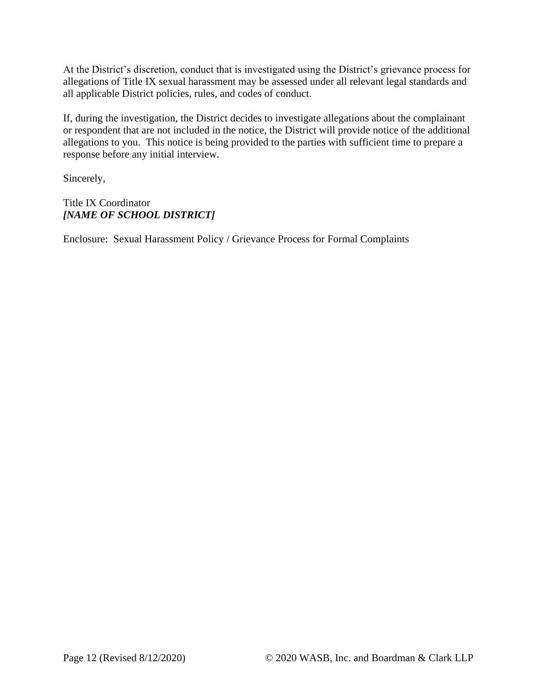At the District's discretion, conduct that is investigated using the District's grievance process for allegations of Title IX sexual harassment may be assessed under all relevant legal standards and all applicable District policies, rules, and codes of conduct.

If, during the investigation, the District decides to investigate allegations about the complainant or respondent that are not included in the notice, the District will provide notice of the additional allegations to you. This notice is being provided to the parties with sufficient time to prepare a response before any initial interview.

Sincerely,

Title IX Coordinator *[NAME OF SCHOOL DISTRICT]*

Enclosure: Sexual Harassment Policy / Grievance Process for Formal Complaints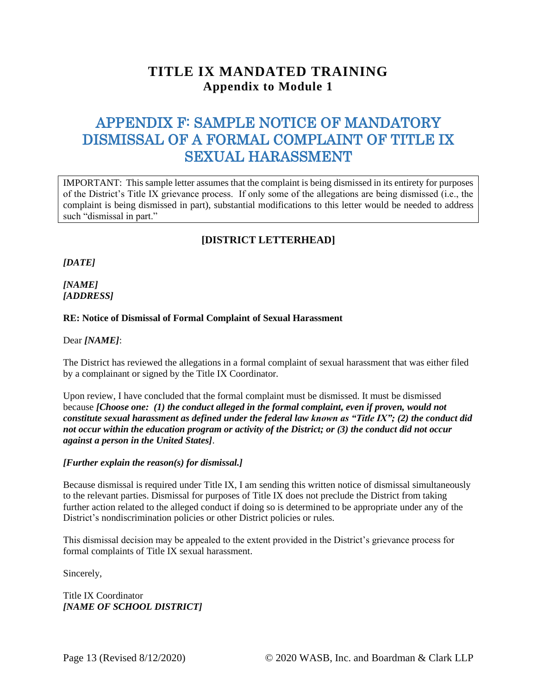# <span id="page-12-0"></span>APPENDIX F: SAMPLE NOTICE OF MANDATORY DISMISSAL OF A FORMAL COMPLAINT OF TITLE IX SEXUAL HARASSMENT

IMPORTANT: This sample letter assumes that the complaint is being dismissed in its entirety for purposes of the District's Title IX grievance process. If only some of the allegations are being dismissed (i.e., the complaint is being dismissed in part), substantial modifications to this letter would be needed to address such "dismissal in part."

### **[DISTRICT LETTERHEAD]**

*[DATE]* 

*[NAME] [ADDRESS]* 

#### **RE: Notice of Dismissal of Formal Complaint of Sexual Harassment**

Dear *[NAME]*:

The District has reviewed the allegations in a formal complaint of sexual harassment that was either filed by a complainant or signed by the Title IX Coordinator.

Upon review, I have concluded that the formal complaint must be dismissed. It must be dismissed because *[Choose one: (1) the conduct alleged in the formal complaint, even if proven, would not constitute sexual harassment as defined under the federal law known as "Title IX"; (2) the conduct did not occur within the education program or activity of the District; or (3) the conduct did not occur against a person in the United States]*.

*[Further explain the reason(s) for dismissal.]* 

Because dismissal is required under Title IX, I am sending this written notice of dismissal simultaneously to the relevant parties. Dismissal for purposes of Title IX does not preclude the District from taking further action related to the alleged conduct if doing so is determined to be appropriate under any of the District's nondiscrimination policies or other District policies or rules.

This dismissal decision may be appealed to the extent provided in the District's grievance process for formal complaints of Title IX sexual harassment.

Sincerely,

Title IX Coordinator *[NAME OF SCHOOL DISTRICT]*